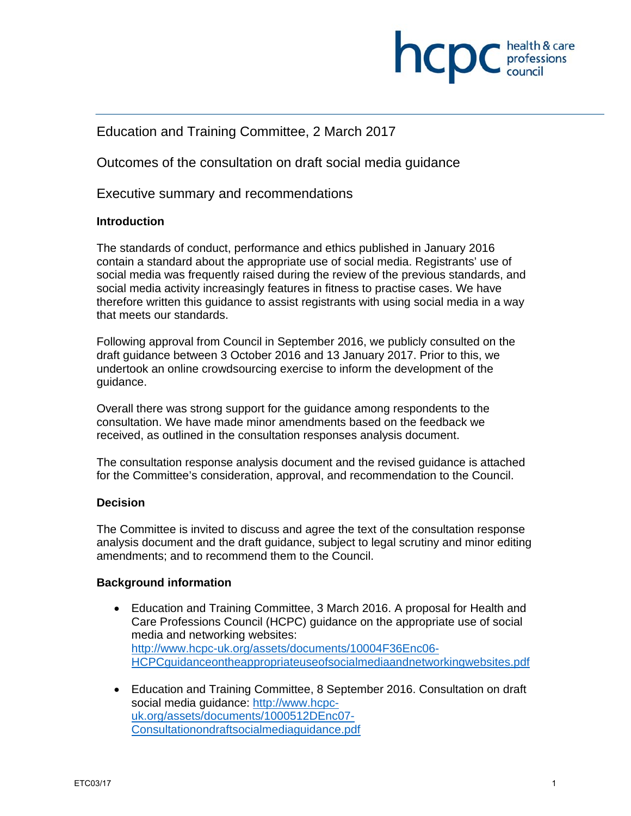

## Education and Training Committee, 2 March 2017

Outcomes of the consultation on draft social media guidance

Executive summary and recommendations

#### **Introduction**

The standards of conduct, performance and ethics published in January 2016 contain a standard about the appropriate use of social media. Registrants' use of social media was frequently raised during the review of the previous standards, and social media activity increasingly features in fitness to practise cases. We have therefore written this guidance to assist registrants with using social media in a way that meets our standards.

Following approval from Council in September 2016, we publicly consulted on the draft guidance between 3 October 2016 and 13 January 2017. Prior to this, we undertook an online crowdsourcing exercise to inform the development of the guidance.

Overall there was strong support for the guidance among respondents to the consultation. We have made minor amendments based on the feedback we received, as outlined in the consultation responses analysis document.

The consultation response analysis document and the revised guidance is attached for the Committee's consideration, approval, and recommendation to the Council.

#### **Decision**

The Committee is invited to discuss and agree the text of the consultation response analysis document and the draft guidance, subject to legal scrutiny and minor editing amendments; and to recommend them to the Council.

#### **Background information**

- Education and Training Committee, 3 March 2016. A proposal for Health and Care Professions Council (HCPC) guidance on the appropriate use of social media and networking websites: http://www.hcpc-uk.org/assets/documents/10004F36Enc06- HCPCguidanceontheappropriateuseofsocialmediaandnetworkingwebsites.pdf
- Education and Training Committee, 8 September 2016. Consultation on draft social media guidance: http://www.hcpcuk.org/assets/documents/1000512DEnc07- Consultationondraftsocialmediaguidance.pdf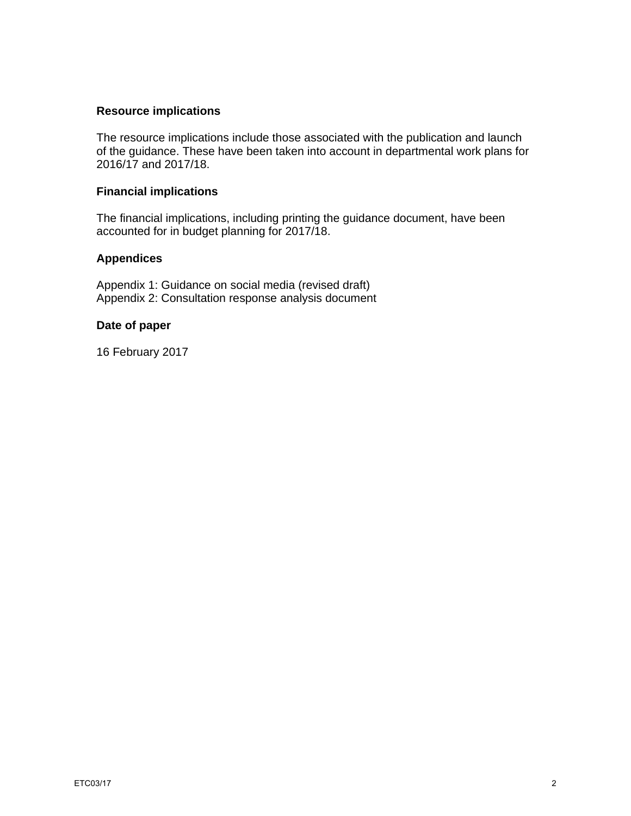#### **Resource implications**

The resource implications include those associated with the publication and launch of the guidance. These have been taken into account in departmental work plans for 2016/17 and 2017/18.

#### **Financial implications**

The financial implications, including printing the guidance document, have been accounted for in budget planning for 2017/18.

### **Appendices**

Appendix 1: Guidance on social media (revised draft) Appendix 2: Consultation response analysis document

#### **Date of paper**

16 February 2017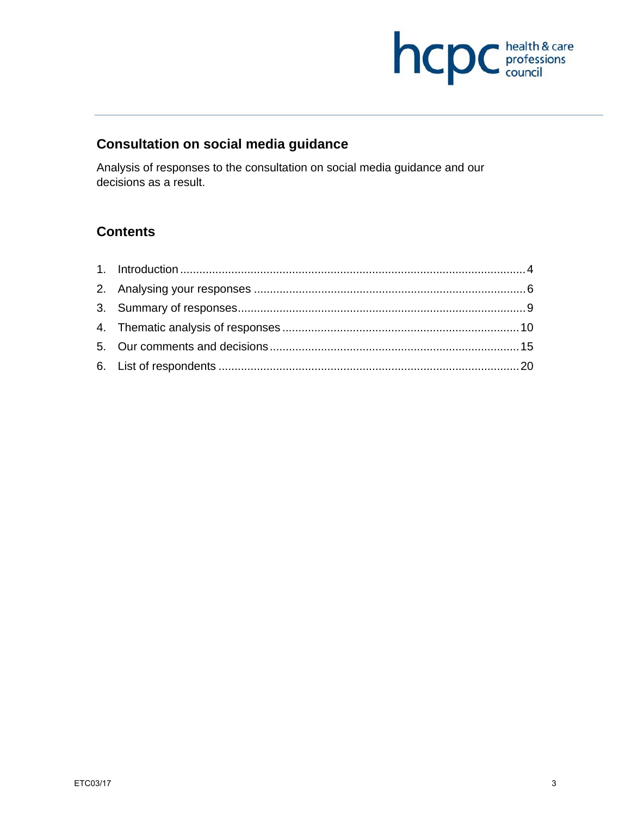

# **Consultation on social media guidance**

Analysis of responses to the consultation on social media guidance and our decisions as a result.

# **Contents**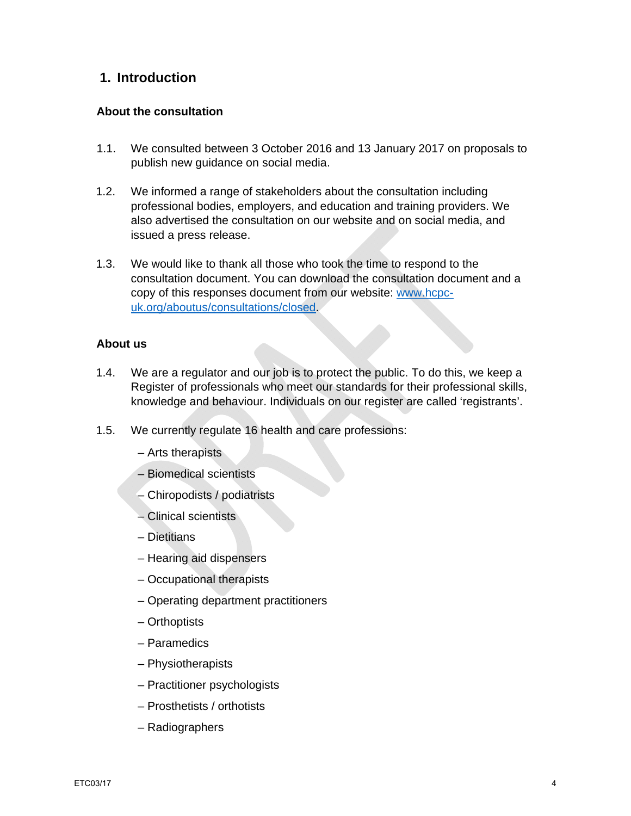# **1. Introduction**

#### **About the consultation**

- 1.1. We consulted between 3 October 2016 and 13 January 2017 on proposals to publish new guidance on social media.
- 1.2. We informed a range of stakeholders about the consultation including professional bodies, employers, and education and training providers. We also advertised the consultation on our website and on social media, and issued a press release.
- 1.3. We would like to thank all those who took the time to respond to the consultation document. You can download the consultation document and a copy of this responses document from our website: www.hcpcuk.org/aboutus/consultations/closed.

#### **About us**

- 1.4. We are a regulator and our job is to protect the public. To do this, we keep a Register of professionals who meet our standards for their professional skills, knowledge and behaviour. Individuals on our register are called 'registrants'.
- 1.5. We currently regulate 16 health and care professions:
	- Arts therapists
	- Biomedical scientists
	- Chiropodists / podiatrists
	- Clinical scientists
	- Dietitians
	- Hearing aid dispensers
	- Occupational therapists
	- Operating department practitioners
	- Orthoptists
	- Paramedics
	- Physiotherapists
	- Practitioner psychologists
	- Prosthetists / orthotists
	- Radiographers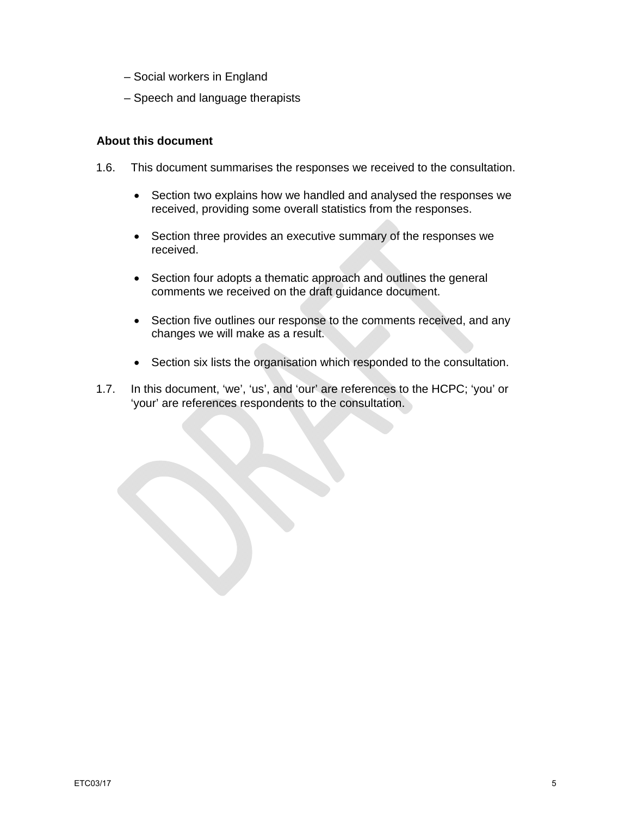- Social workers in England
- Speech and language therapists

#### **About this document**

- 1.6. This document summarises the responses we received to the consultation.
	- Section two explains how we handled and analysed the responses we received, providing some overall statistics from the responses.
	- Section three provides an executive summary of the responses we received.
	- Section four adopts a thematic approach and outlines the general comments we received on the draft guidance document.
	- Section five outlines our response to the comments received, and any changes we will make as a result.
	- Section six lists the organisation which responded to the consultation.
- 1.7. In this document, 'we', 'us', and 'our' are references to the HCPC; 'you' or 'your' are references respondents to the consultation.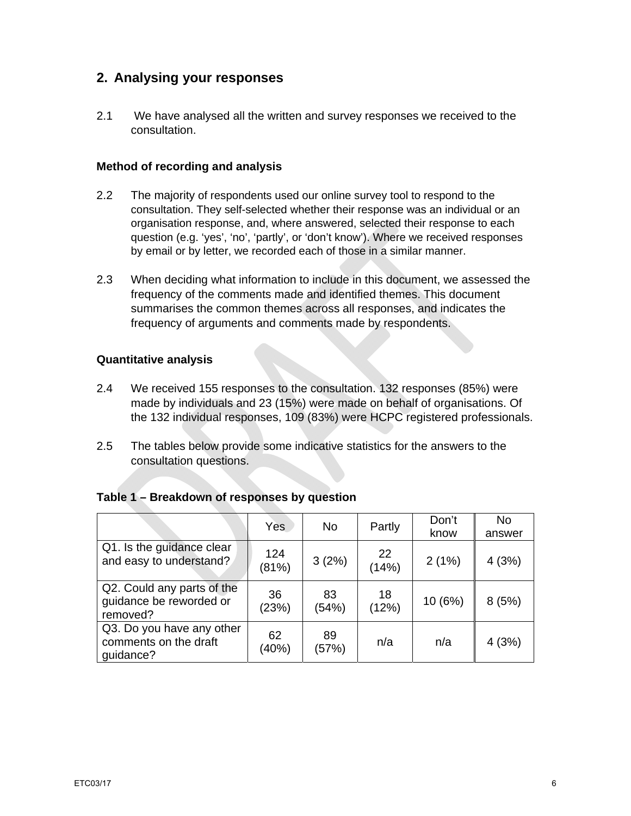# **2. Analysing your responses**

2.1 We have analysed all the written and survey responses we received to the consultation.

#### **Method of recording and analysis**

- 2.2 The majority of respondents used our online survey tool to respond to the consultation. They self-selected whether their response was an individual or an organisation response, and, where answered, selected their response to each question (e.g. 'yes', 'no', 'partly', or 'don't know'). Where we received responses by email or by letter, we recorded each of those in a similar manner.
- 2.3 When deciding what information to include in this document, we assessed the frequency of the comments made and identified themes. This document summarises the common themes across all responses, and indicates the frequency of arguments and comments made by respondents.

## **Quantitative analysis**

- 2.4 We received 155 responses to the consultation. 132 responses (85%) were made by individuals and 23 (15%) were made on behalf of organisations. Of the 132 individual responses, 109 (83%) were HCPC registered professionals.
- 2.5 The tables below provide some indicative statistics for the answers to the consultation questions.

|                                                                   | Yes          | No.         | Partly      | Don't<br>know | No<br>answer |
|-------------------------------------------------------------------|--------------|-------------|-------------|---------------|--------------|
| Q1. Is the guidance clear<br>and easy to understand?              | 124<br>(81%) | 3(2%)       | 22<br>(14%) | 2(1%)         | 4(3%)        |
| Q2. Could any parts of the<br>guidance be reworded or<br>removed? | 36<br>(23%)  | 83<br>(54%) | 18<br>(12%) | 10 (6%)       | 8(5%)        |
| Q3. Do you have any other<br>comments on the draft<br>quidance?   | 62<br>(40%)  | 89<br>(57%) | n/a         | n/a           | 4(3%)        |

## **Table 1 – Breakdown of responses by question**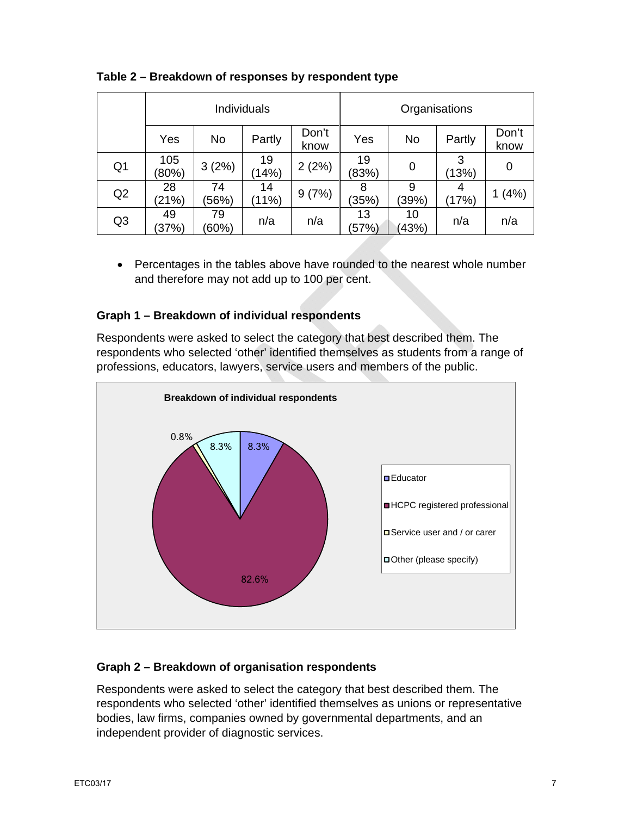|                | Individuals  |             |             | Organisations |             |             |            |               |
|----------------|--------------|-------------|-------------|---------------|-------------|-------------|------------|---------------|
|                | Yes          | No          | Partly      | Don't<br>know | Yes         | No          | Partly     | Don't<br>know |
| Q <sub>1</sub> | 105<br>(80%) | 3(2%)       | 19<br>(14%) | 2(2%)         | 19<br>(83%) | 0           | 3<br>(13%) | 0             |
| Q2             | 28<br>(21%)  | 74<br>(56%) | 14<br>(11%) | 9(7%)         | 8<br>(35%)  | 9<br>(39%)  | 4<br>(17%) | (4% )         |
| Q <sub>3</sub> | 49<br>(37%)  | 79<br>(60%) | n/a         | n/a           | 13<br>(57%) | 10<br>(43%) | n/a        | n/a           |

## **Table 2 – Breakdown of responses by respondent type**

 Percentages in the tables above have rounded to the nearest whole number and therefore may not add up to 100 per cent.

## **Graph 1 – Breakdown of individual respondents**

Respondents were asked to select the category that best described them. The respondents who selected 'other' identified themselves as students from a range of professions, educators, lawyers, service users and members of the public.



## **Graph 2 – Breakdown of organisation respondents**

Respondents were asked to select the category that best described them. The respondents who selected 'other' identified themselves as unions or representative bodies, law firms, companies owned by governmental departments, and an independent provider of diagnostic services.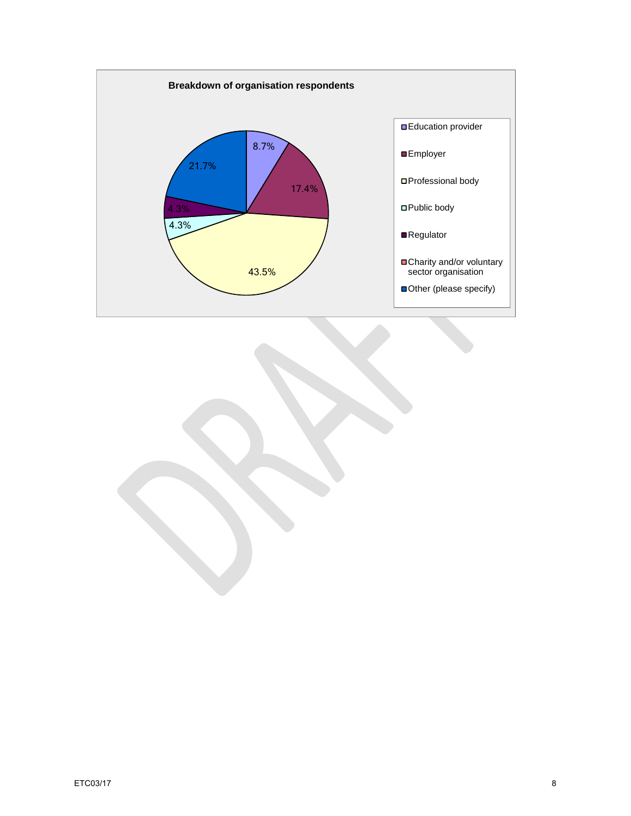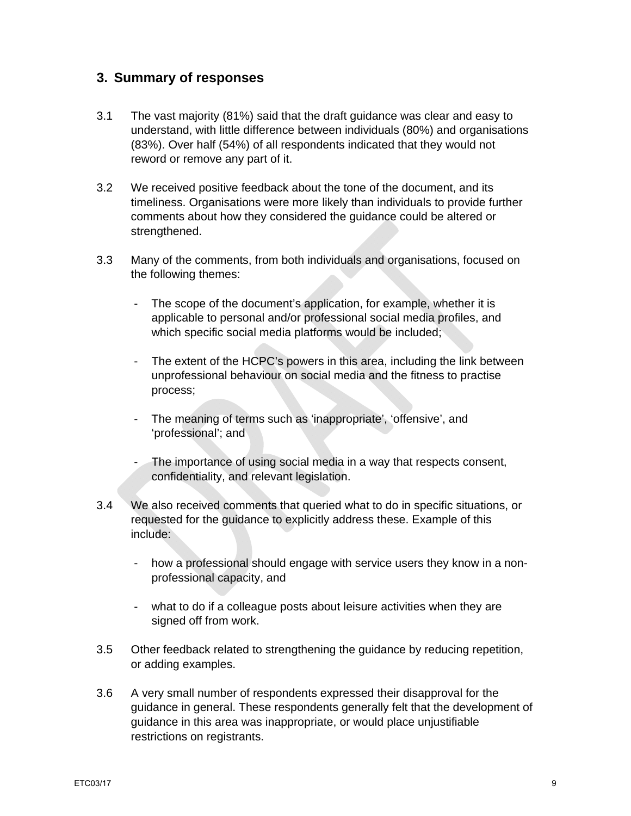# **3. Summary of responses**

- 3.1 The vast majority (81%) said that the draft guidance was clear and easy to understand, with little difference between individuals (80%) and organisations (83%). Over half (54%) of all respondents indicated that they would not reword or remove any part of it.
- 3.2 We received positive feedback about the tone of the document, and its timeliness. Organisations were more likely than individuals to provide further comments about how they considered the guidance could be altered or strengthened.
- 3.3 Many of the comments, from both individuals and organisations, focused on the following themes:
	- The scope of the document's application, for example, whether it is applicable to personal and/or professional social media profiles, and which specific social media platforms would be included;
	- The extent of the HCPC's powers in this area, including the link between unprofessional behaviour on social media and the fitness to practise process;
	- The meaning of terms such as 'inappropriate', 'offensive', and 'professional'; and
	- The importance of using social media in a way that respects consent, confidentiality, and relevant legislation.
- 3.4 We also received comments that queried what to do in specific situations, or requested for the guidance to explicitly address these. Example of this include:
	- how a professional should engage with service users they know in a nonprofessional capacity, and
	- what to do if a colleague posts about leisure activities when they are signed off from work.
- 3.5 Other feedback related to strengthening the guidance by reducing repetition, or adding examples.
- 3.6 A very small number of respondents expressed their disapproval for the guidance in general. These respondents generally felt that the development of guidance in this area was inappropriate, or would place unjustifiable restrictions on registrants.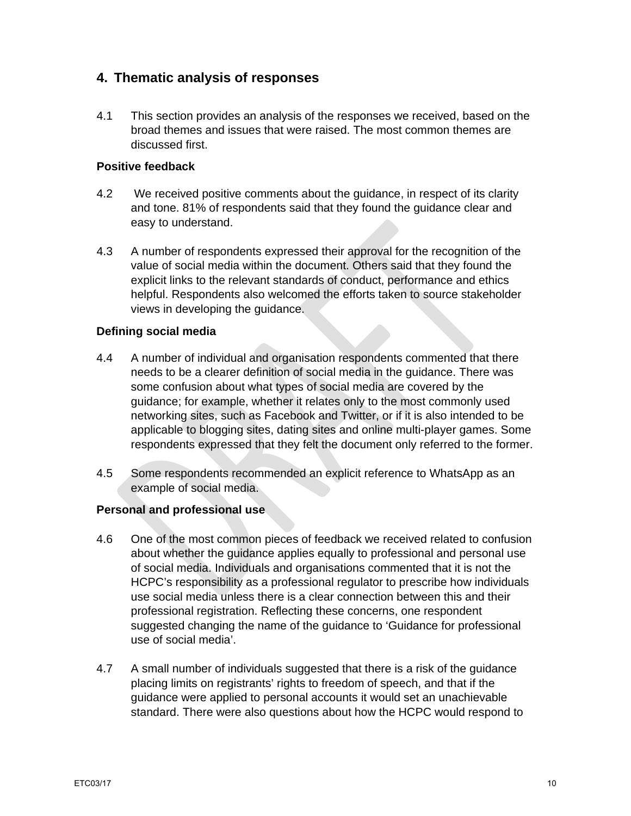# **4. Thematic analysis of responses**

4.1 This section provides an analysis of the responses we received, based on the broad themes and issues that were raised. The most common themes are discussed first.

## **Positive feedback**

- 4.2 We received positive comments about the guidance, in respect of its clarity and tone. 81% of respondents said that they found the guidance clear and easy to understand.
- 4.3 A number of respondents expressed their approval for the recognition of the value of social media within the document. Others said that they found the explicit links to the relevant standards of conduct, performance and ethics helpful. Respondents also welcomed the efforts taken to source stakeholder views in developing the guidance.

## **Defining social media**

- 4.4 A number of individual and organisation respondents commented that there needs to be a clearer definition of social media in the guidance. There was some confusion about what types of social media are covered by the guidance; for example, whether it relates only to the most commonly used networking sites, such as Facebook and Twitter, or if it is also intended to be applicable to blogging sites, dating sites and online multi-player games. Some respondents expressed that they felt the document only referred to the former.
- 4.5 Some respondents recommended an explicit reference to WhatsApp as an example of social media.

## **Personal and professional use**

- 4.6 One of the most common pieces of feedback we received related to confusion about whether the guidance applies equally to professional and personal use of social media. Individuals and organisations commented that it is not the HCPC's responsibility as a professional regulator to prescribe how individuals use social media unless there is a clear connection between this and their professional registration. Reflecting these concerns, one respondent suggested changing the name of the guidance to 'Guidance for professional use of social media'.
- 4.7 A small number of individuals suggested that there is a risk of the guidance placing limits on registrants' rights to freedom of speech, and that if the guidance were applied to personal accounts it would set an unachievable standard. There were also questions about how the HCPC would respond to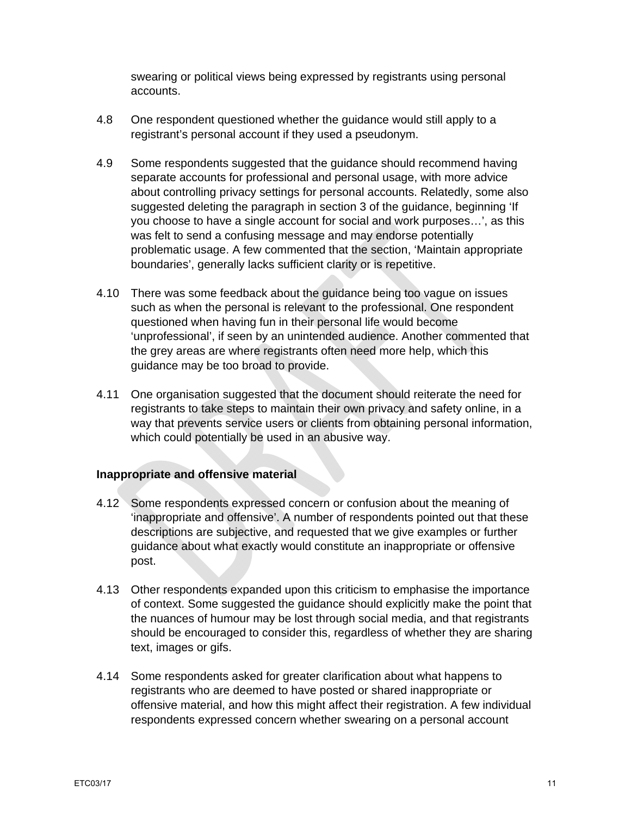swearing or political views being expressed by registrants using personal accounts.

- 4.8 One respondent questioned whether the guidance would still apply to a registrant's personal account if they used a pseudonym.
- 4.9 Some respondents suggested that the guidance should recommend having separate accounts for professional and personal usage, with more advice about controlling privacy settings for personal accounts. Relatedly, some also suggested deleting the paragraph in section 3 of the guidance, beginning 'If you choose to have a single account for social and work purposes…', as this was felt to send a confusing message and may endorse potentially problematic usage. A few commented that the section, 'Maintain appropriate boundaries', generally lacks sufficient clarity or is repetitive.
- 4.10 There was some feedback about the guidance being too vague on issues such as when the personal is relevant to the professional. One respondent questioned when having fun in their personal life would become 'unprofessional', if seen by an unintended audience. Another commented that the grey areas are where registrants often need more help, which this guidance may be too broad to provide.
- 4.11 One organisation suggested that the document should reiterate the need for registrants to take steps to maintain their own privacy and safety online, in a way that prevents service users or clients from obtaining personal information, which could potentially be used in an abusive way.

## **Inappropriate and offensive material**

- 4.12 Some respondents expressed concern or confusion about the meaning of 'inappropriate and offensive'. A number of respondents pointed out that these descriptions are subjective, and requested that we give examples or further guidance about what exactly would constitute an inappropriate or offensive post.
- 4.13 Other respondents expanded upon this criticism to emphasise the importance of context. Some suggested the guidance should explicitly make the point that the nuances of humour may be lost through social media, and that registrants should be encouraged to consider this, regardless of whether they are sharing text, images or gifs.
- 4.14 Some respondents asked for greater clarification about what happens to registrants who are deemed to have posted or shared inappropriate or offensive material, and how this might affect their registration. A few individual respondents expressed concern whether swearing on a personal account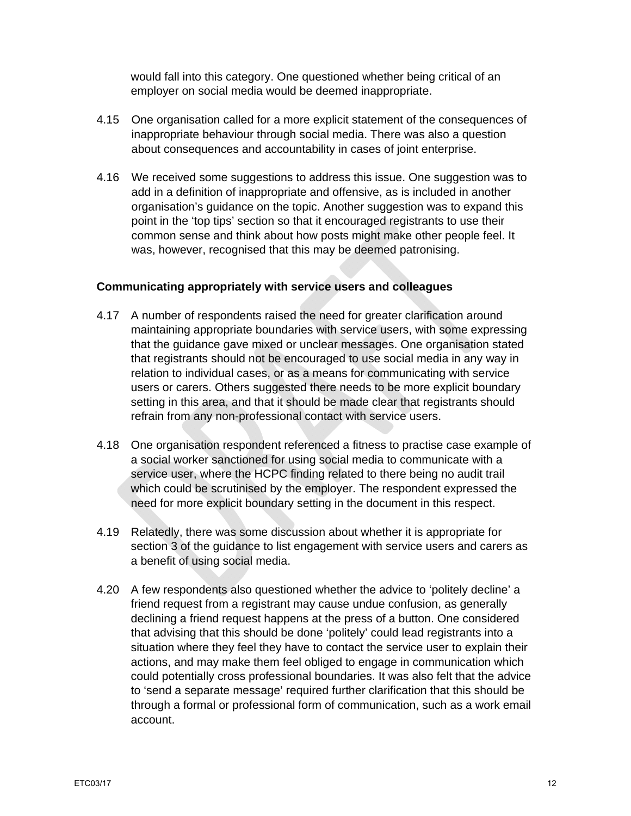would fall into this category. One questioned whether being critical of an employer on social media would be deemed inappropriate.

- 4.15 One organisation called for a more explicit statement of the consequences of inappropriate behaviour through social media. There was also a question about consequences and accountability in cases of joint enterprise.
- 4.16 We received some suggestions to address this issue. One suggestion was to add in a definition of inappropriate and offensive, as is included in another organisation's guidance on the topic. Another suggestion was to expand this point in the 'top tips' section so that it encouraged registrants to use their common sense and think about how posts might make other people feel. It was, however, recognised that this may be deemed patronising.

## **Communicating appropriately with service users and colleagues**

- 4.17 A number of respondents raised the need for greater clarification around maintaining appropriate boundaries with service users, with some expressing that the guidance gave mixed or unclear messages. One organisation stated that registrants should not be encouraged to use social media in any way in relation to individual cases, or as a means for communicating with service users or carers. Others suggested there needs to be more explicit boundary setting in this area, and that it should be made clear that registrants should refrain from any non-professional contact with service users.
- 4.18 One organisation respondent referenced a fitness to practise case example of a social worker sanctioned for using social media to communicate with a service user, where the HCPC finding related to there being no audit trail which could be scrutinised by the employer. The respondent expressed the need for more explicit boundary setting in the document in this respect.
- 4.19 Relatedly, there was some discussion about whether it is appropriate for section 3 of the guidance to list engagement with service users and carers as a benefit of using social media.
- 4.20 A few respondents also questioned whether the advice to 'politely decline' a friend request from a registrant may cause undue confusion, as generally declining a friend request happens at the press of a button. One considered that advising that this should be done 'politely' could lead registrants into a situation where they feel they have to contact the service user to explain their actions, and may make them feel obliged to engage in communication which could potentially cross professional boundaries. It was also felt that the advice to 'send a separate message' required further clarification that this should be through a formal or professional form of communication, such as a work email account.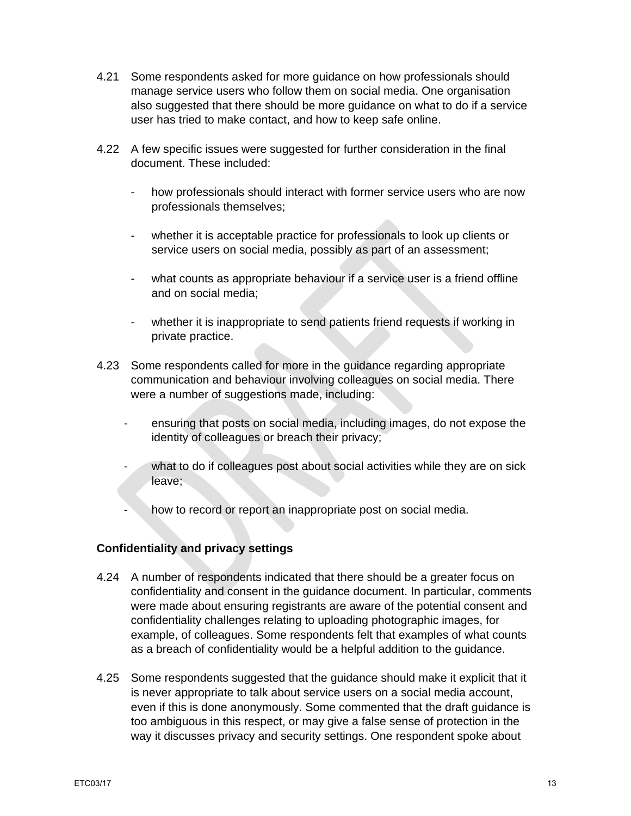- 4.21 Some respondents asked for more guidance on how professionals should manage service users who follow them on social media. One organisation also suggested that there should be more guidance on what to do if a service user has tried to make contact, and how to keep safe online.
- 4.22 A few specific issues were suggested for further consideration in the final document. These included:
	- how professionals should interact with former service users who are now professionals themselves;
	- whether it is acceptable practice for professionals to look up clients or service users on social media, possibly as part of an assessment;
	- what counts as appropriate behaviour if a service user is a friend offline and on social media;
	- whether it is inappropriate to send patients friend requests if working in private practice.
- 4.23 Some respondents called for more in the guidance regarding appropriate communication and behaviour involving colleagues on social media. There were a number of suggestions made, including:
	- ensuring that posts on social media, including images, do not expose the identity of colleagues or breach their privacy;
	- what to do if colleagues post about social activities while they are on sick leave;
	- how to record or report an inappropriate post on social media.

## **Confidentiality and privacy settings**

- 4.24 A number of respondents indicated that there should be a greater focus on confidentiality and consent in the guidance document. In particular, comments were made about ensuring registrants are aware of the potential consent and confidentiality challenges relating to uploading photographic images, for example, of colleagues. Some respondents felt that examples of what counts as a breach of confidentiality would be a helpful addition to the guidance.
- 4.25 Some respondents suggested that the guidance should make it explicit that it is never appropriate to talk about service users on a social media account, even if this is done anonymously. Some commented that the draft guidance is too ambiguous in this respect, or may give a false sense of protection in the way it discusses privacy and security settings. One respondent spoke about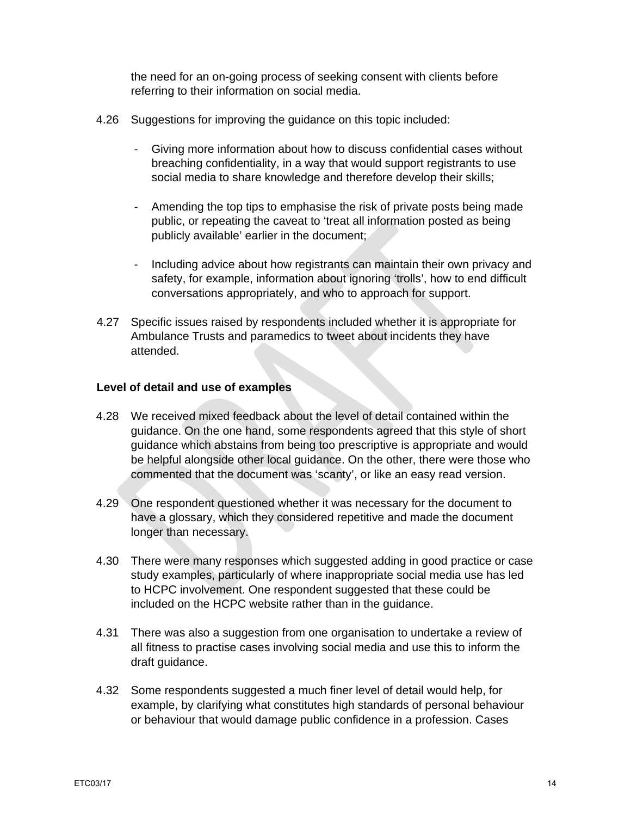the need for an on-going process of seeking consent with clients before referring to their information on social media.

- 4.26 Suggestions for improving the guidance on this topic included:
	- Giving more information about how to discuss confidential cases without breaching confidentiality, in a way that would support registrants to use social media to share knowledge and therefore develop their skills;
	- Amending the top tips to emphasise the risk of private posts being made public, or repeating the caveat to 'treat all information posted as being publicly available' earlier in the document;
	- Including advice about how registrants can maintain their own privacy and safety, for example, information about ignoring 'trolls', how to end difficult conversations appropriately, and who to approach for support.
- 4.27 Specific issues raised by respondents included whether it is appropriate for Ambulance Trusts and paramedics to tweet about incidents they have attended.

## **Level of detail and use of examples**

- 4.28 We received mixed feedback about the level of detail contained within the guidance. On the one hand, some respondents agreed that this style of short guidance which abstains from being too prescriptive is appropriate and would be helpful alongside other local guidance. On the other, there were those who commented that the document was 'scanty', or like an easy read version.
- 4.29 One respondent questioned whether it was necessary for the document to have a glossary, which they considered repetitive and made the document longer than necessary.
- 4.30 There were many responses which suggested adding in good practice or case study examples, particularly of where inappropriate social media use has led to HCPC involvement. One respondent suggested that these could be included on the HCPC website rather than in the guidance.
- 4.31 There was also a suggestion from one organisation to undertake a review of all fitness to practise cases involving social media and use this to inform the draft guidance.
- 4.32 Some respondents suggested a much finer level of detail would help, for example, by clarifying what constitutes high standards of personal behaviour or behaviour that would damage public confidence in a profession. Cases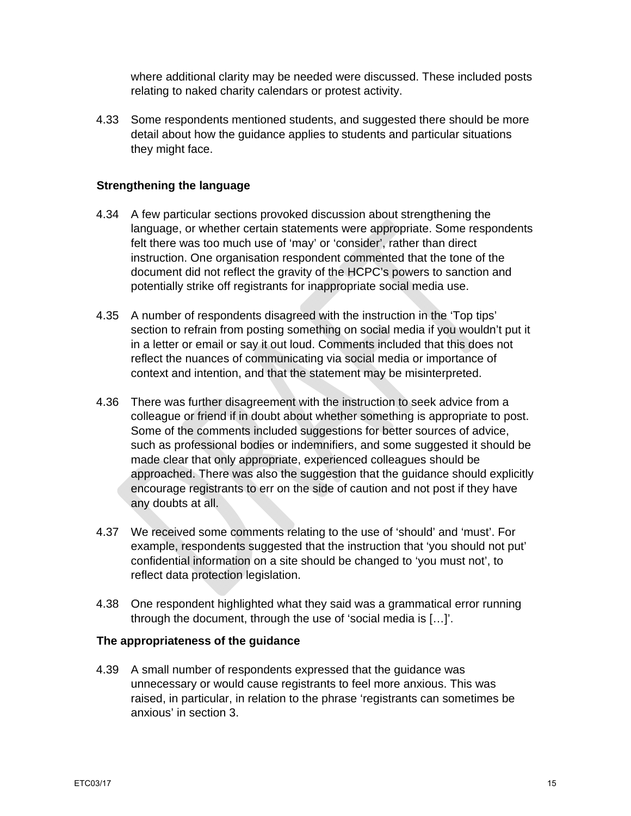where additional clarity may be needed were discussed. These included posts relating to naked charity calendars or protest activity.

4.33 Some respondents mentioned students, and suggested there should be more detail about how the guidance applies to students and particular situations they might face.

## **Strengthening the language**

- 4.34 A few particular sections provoked discussion about strengthening the language, or whether certain statements were appropriate. Some respondents felt there was too much use of 'may' or 'consider', rather than direct instruction. One organisation respondent commented that the tone of the document did not reflect the gravity of the HCPC's powers to sanction and potentially strike off registrants for inappropriate social media use.
- 4.35 A number of respondents disagreed with the instruction in the 'Top tips' section to refrain from posting something on social media if you wouldn't put it in a letter or email or say it out loud. Comments included that this does not reflect the nuances of communicating via social media or importance of context and intention, and that the statement may be misinterpreted.
- 4.36 There was further disagreement with the instruction to seek advice from a colleague or friend if in doubt about whether something is appropriate to post. Some of the comments included suggestions for better sources of advice, such as professional bodies or indemnifiers, and some suggested it should be made clear that only appropriate, experienced colleagues should be approached. There was also the suggestion that the guidance should explicitly encourage registrants to err on the side of caution and not post if they have any doubts at all.
- 4.37 We received some comments relating to the use of 'should' and 'must'. For example, respondents suggested that the instruction that 'you should not put' confidential information on a site should be changed to 'you must not', to reflect data protection legislation.
- 4.38 One respondent highlighted what they said was a grammatical error running through the document, through the use of 'social media is […]'.

## **The appropriateness of the guidance**

4.39 A small number of respondents expressed that the guidance was unnecessary or would cause registrants to feel more anxious. This was raised, in particular, in relation to the phrase 'registrants can sometimes be anxious' in section 3.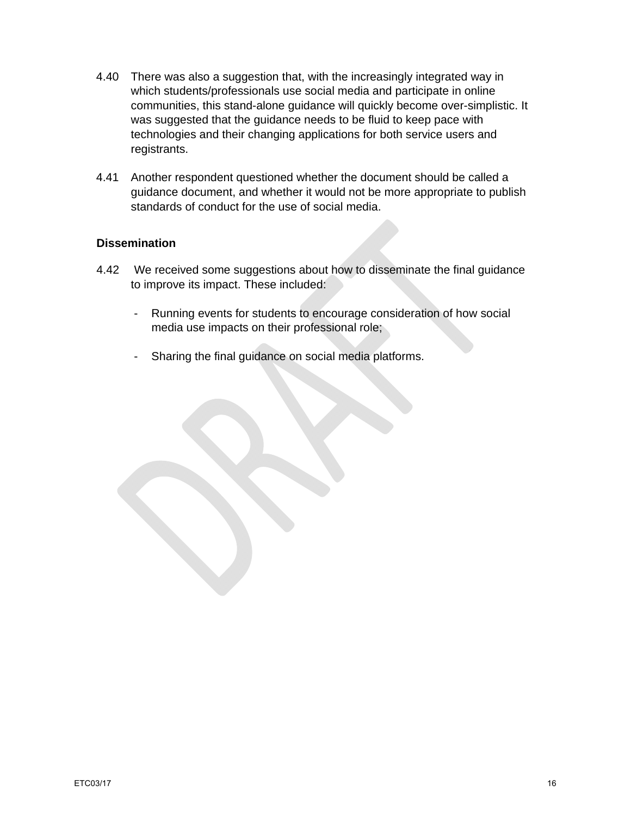- 4.40 There was also a suggestion that, with the increasingly integrated way in which students/professionals use social media and participate in online communities, this stand-alone guidance will quickly become over-simplistic. It was suggested that the guidance needs to be fluid to keep pace with technologies and their changing applications for both service users and registrants.
- 4.41 Another respondent questioned whether the document should be called a guidance document, and whether it would not be more appropriate to publish standards of conduct for the use of social media.

## **Dissemination**

- 4.42 We received some suggestions about how to disseminate the final guidance to improve its impact. These included:
	- Running events for students to encourage consideration of how social media use impacts on their professional role;
	- Sharing the final guidance on social media platforms.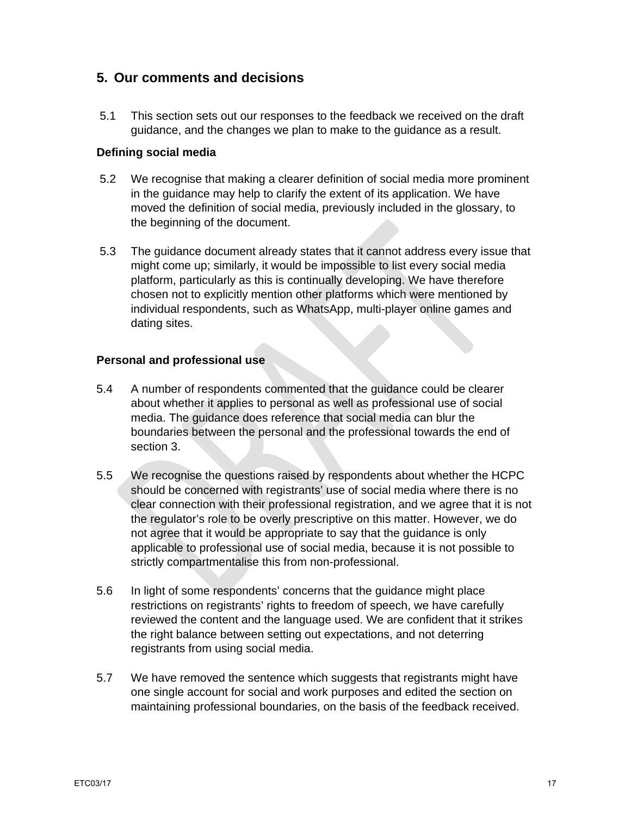# **5. Our comments and decisions**

5.1 This section sets out our responses to the feedback we received on the draft guidance, and the changes we plan to make to the guidance as a result.

## **Defining social media**

- 5.2 We recognise that making a clearer definition of social media more prominent in the guidance may help to clarify the extent of its application. We have moved the definition of social media, previously included in the glossary, to the beginning of the document.
- 5.3 The guidance document already states that it cannot address every issue that might come up; similarly, it would be impossible to list every social media platform, particularly as this is continually developing. We have therefore chosen not to explicitly mention other platforms which were mentioned by individual respondents, such as WhatsApp, multi-player online games and dating sites.

## **Personal and professional use**

- 5.4 A number of respondents commented that the guidance could be clearer about whether it applies to personal as well as professional use of social media. The guidance does reference that social media can blur the boundaries between the personal and the professional towards the end of section 3.
- 5.5 We recognise the questions raised by respondents about whether the HCPC should be concerned with registrants' use of social media where there is no clear connection with their professional registration, and we agree that it is not the regulator's role to be overly prescriptive on this matter. However, we do not agree that it would be appropriate to say that the guidance is only applicable to professional use of social media, because it is not possible to strictly compartmentalise this from non-professional.
- 5.6 In light of some respondents' concerns that the guidance might place restrictions on registrants' rights to freedom of speech, we have carefully reviewed the content and the language used. We are confident that it strikes the right balance between setting out expectations, and not deterring registrants from using social media.
- 5.7 We have removed the sentence which suggests that registrants might have one single account for social and work purposes and edited the section on maintaining professional boundaries, on the basis of the feedback received.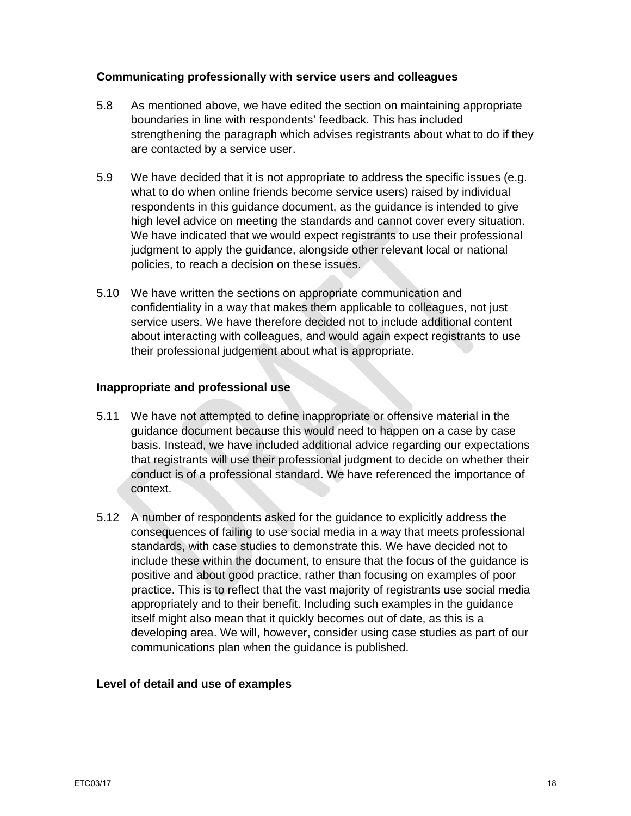### **Communicating professionally with service users and colleagues**

- 5.8 As mentioned above, we have edited the section on maintaining appropriate boundaries in line with respondents' feedback. This has included strengthening the paragraph which advises registrants about what to do if they are contacted by a service user.
- 5.9 We have decided that it is not appropriate to address the specific issues (e.g. what to do when online friends become service users) raised by individual respondents in this guidance document, as the guidance is intended to give high level advice on meeting the standards and cannot cover every situation. We have indicated that we would expect registrants to use their professional judgment to apply the guidance, alongside other relevant local or national policies, to reach a decision on these issues.
- 5.10 We have written the sections on appropriate communication and confidentiality in a way that makes them applicable to colleagues, not just service users. We have therefore decided not to include additional content about interacting with colleagues, and would again expect registrants to use their professional judgement about what is appropriate.

#### **Inappropriate and professional use**

- 5.11 We have not attempted to define inappropriate or offensive material in the guidance document because this would need to happen on a case by case basis. Instead, we have included additional advice regarding our expectations that registrants will use their professional judgment to decide on whether their conduct is of a professional standard. We have referenced the importance of context.
- 5.12 A number of respondents asked for the guidance to explicitly address the consequences of failing to use social media in a way that meets professional standards, with case studies to demonstrate this. We have decided not to include these within the document, to ensure that the focus of the guidance is positive and about good practice, rather than focusing on examples of poor practice. This is to reflect that the vast majority of registrants use social media appropriately and to their benefit. Including such examples in the guidance itself might also mean that it quickly becomes out of date, as this is a developing area. We will, however, consider using case studies as part of our communications plan when the guidance is published.

## **Level of detail and use of examples**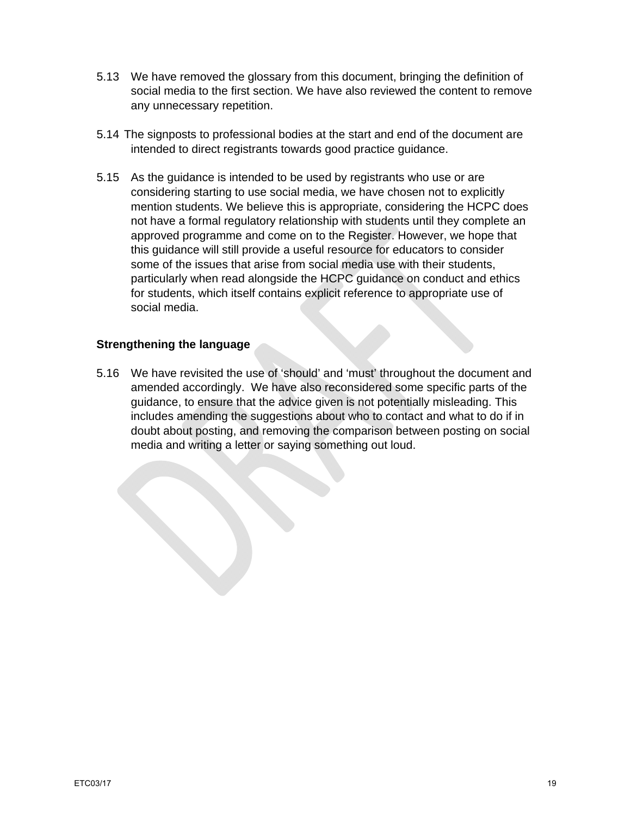- 5.13 We have removed the glossary from this document, bringing the definition of social media to the first section. We have also reviewed the content to remove any unnecessary repetition.
- 5.14 The signposts to professional bodies at the start and end of the document are intended to direct registrants towards good practice guidance.
- 5.15 As the guidance is intended to be used by registrants who use or are considering starting to use social media, we have chosen not to explicitly mention students. We believe this is appropriate, considering the HCPC does not have a formal regulatory relationship with students until they complete an approved programme and come on to the Register. However, we hope that this guidance will still provide a useful resource for educators to consider some of the issues that arise from social media use with their students, particularly when read alongside the HCPC guidance on conduct and ethics for students, which itself contains explicit reference to appropriate use of social media.

## **Strengthening the language**

5.16 We have revisited the use of 'should' and 'must' throughout the document and amended accordingly. We have also reconsidered some specific parts of the guidance, to ensure that the advice given is not potentially misleading. This includes amending the suggestions about who to contact and what to do if in doubt about posting, and removing the comparison between posting on social media and writing a letter or saying something out loud.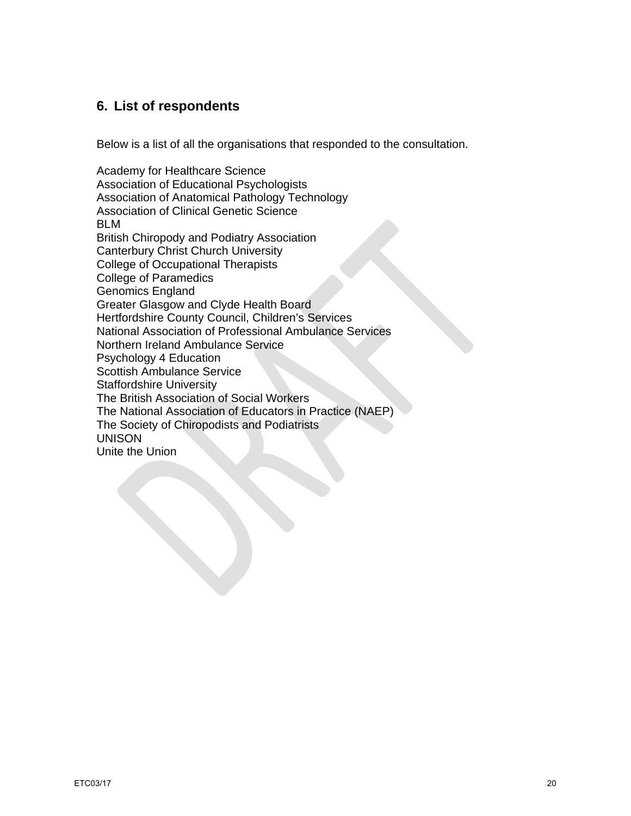# **6. List of respondents**

Below is a list of all the organisations that responded to the consultation.

Academy for Healthcare Science Association of Educational Psychologists Association of Anatomical Pathology Technology Association of Clinical Genetic Science BLM British Chiropody and Podiatry Association Canterbury Christ Church University College of Occupational Therapists College of Paramedics Genomics England Greater Glasgow and Clyde Health Board Hertfordshire County Council, Children's Services National Association of Professional Ambulance Services Northern Ireland Ambulance Service Psychology 4 Education Scottish Ambulance Service Staffordshire University The British Association of Social Workers The National Association of Educators in Practice (NAEP) The Society of Chiropodists and Podiatrists UNISON Unite the Union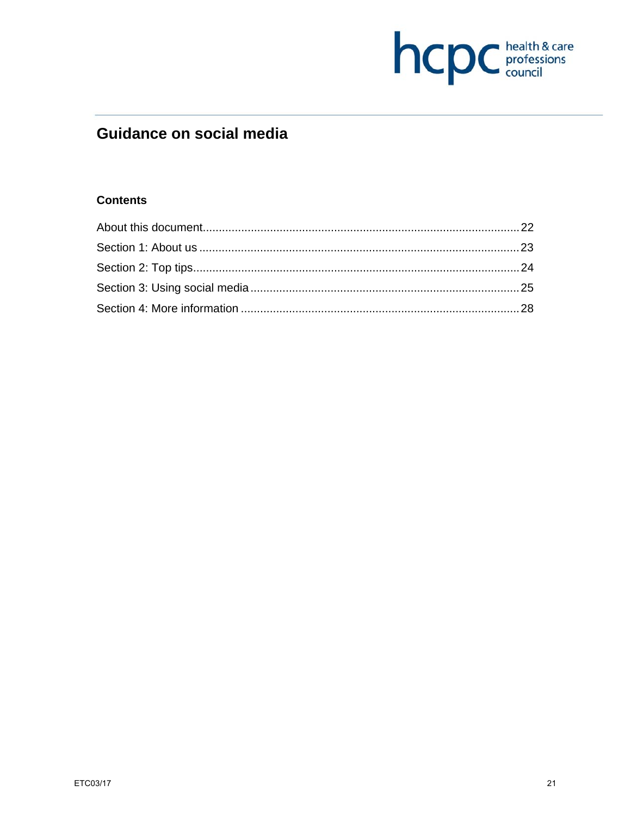

# **Guidance on social media**

## **Contents**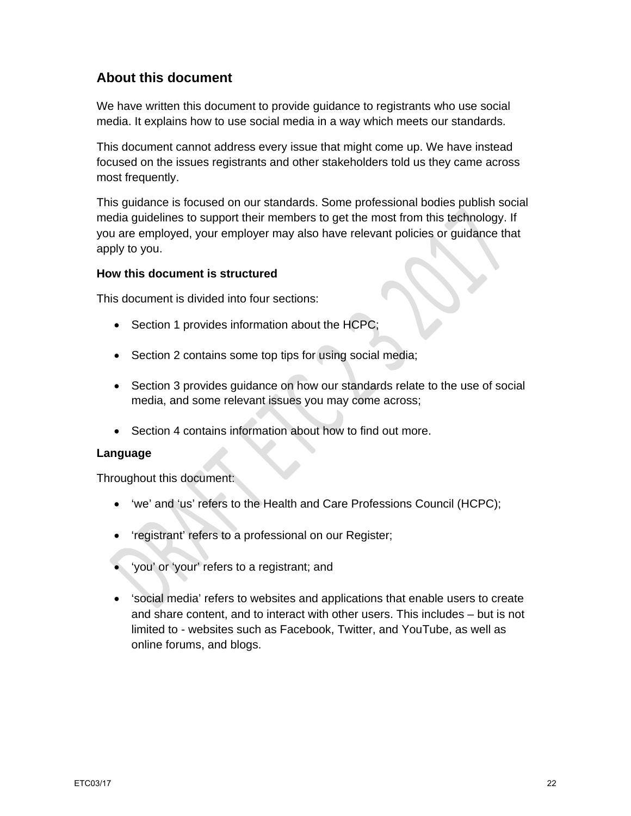# **About this document**

We have written this document to provide guidance to registrants who use social media. It explains how to use social media in a way which meets our standards.

This document cannot address every issue that might come up. We have instead focused on the issues registrants and other stakeholders told us they came across most frequently.

This guidance is focused on our standards. Some professional bodies publish social media guidelines to support their members to get the most from this technology. If you are employed, your employer may also have relevant policies or guidance that apply to you.

## **How this document is structured**

This document is divided into four sections:

- Section 1 provides information about the HCPC;
- Section 2 contains some top tips for using social media;
- Section 3 provides guidance on how our standards relate to the use of social media, and some relevant issues you may come across;
- Section 4 contains information about how to find out more.

## **Language**

Throughout this document:

- 'we' and 'us' refers to the Health and Care Professions Council (HCPC);
- 'registrant' refers to a professional on our Register;
- 'you' or 'your' refers to a registrant; and
- 'social media' refers to websites and applications that enable users to create and share content, and to interact with other users. This includes – but is not limited to - websites such as Facebook, Twitter, and YouTube, as well as online forums, and blogs.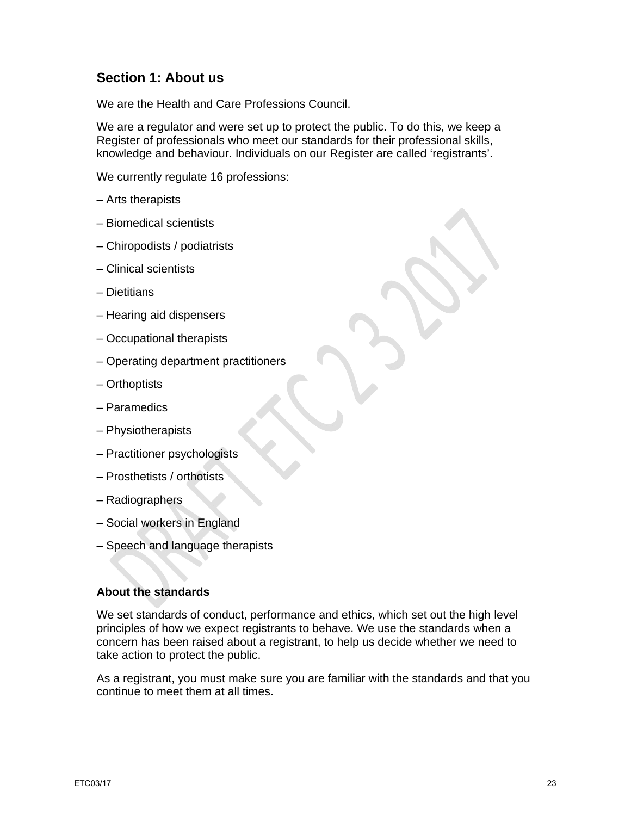# **Section 1: About us**

We are the Health and Care Professions Council.

We are a regulator and were set up to protect the public. To do this, we keep a Register of professionals who meet our standards for their professional skills, knowledge and behaviour. Individuals on our Register are called 'registrants'.

We currently regulate 16 professions:

- Arts therapists
- Biomedical scientists
- Chiropodists / podiatrists
- Clinical scientists
- Dietitians
- Hearing aid dispensers
- Occupational therapists
- Operating department practitioners
- Orthoptists
- Paramedics
- Physiotherapists
- Practitioner psychologists
- Prosthetists / orthotists
- Radiographers
- Social workers in England
- Speech and language therapists

### **About the standards**

We set standards of conduct, performance and ethics, which set out the high level principles of how we expect registrants to behave. We use the standards when a concern has been raised about a registrant, to help us decide whether we need to take action to protect the public.

As a registrant, you must make sure you are familiar with the standards and that you continue to meet them at all times.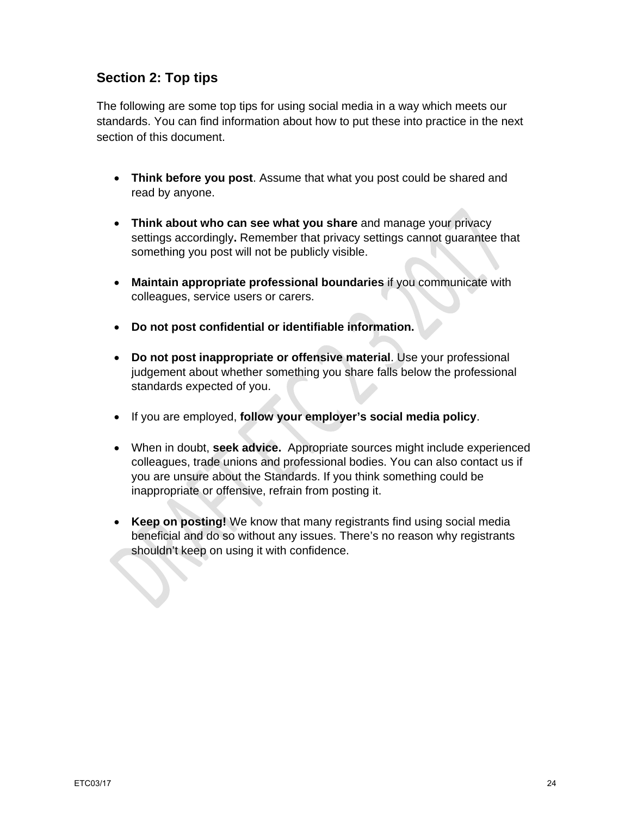# **Section 2: Top tips**

The following are some top tips for using social media in a way which meets our standards. You can find information about how to put these into practice in the next section of this document.

- **Think before you post**. Assume that what you post could be shared and read by anyone.
- **Think about who can see what you share** and manage your privacy settings accordingly**.** Remember that privacy settings cannot guarantee that something you post will not be publicly visible.
- **Maintain appropriate professional boundaries** if you communicate with colleagues, service users or carers.
- **Do not post confidential or identifiable information.**
- **Do not post inappropriate or offensive material**. Use your professional judgement about whether something you share falls below the professional standards expected of you.
- If you are employed, **follow your employer's social media policy**.
- When in doubt, **seek advice.** Appropriate sources might include experienced colleagues, trade unions and professional bodies. You can also contact us if you are unsure about the Standards. If you think something could be inappropriate or offensive, refrain from posting it.
- **Keep on posting!** We know that many registrants find using social media beneficial and do so without any issues. There's no reason why registrants shouldn't keep on using it with confidence.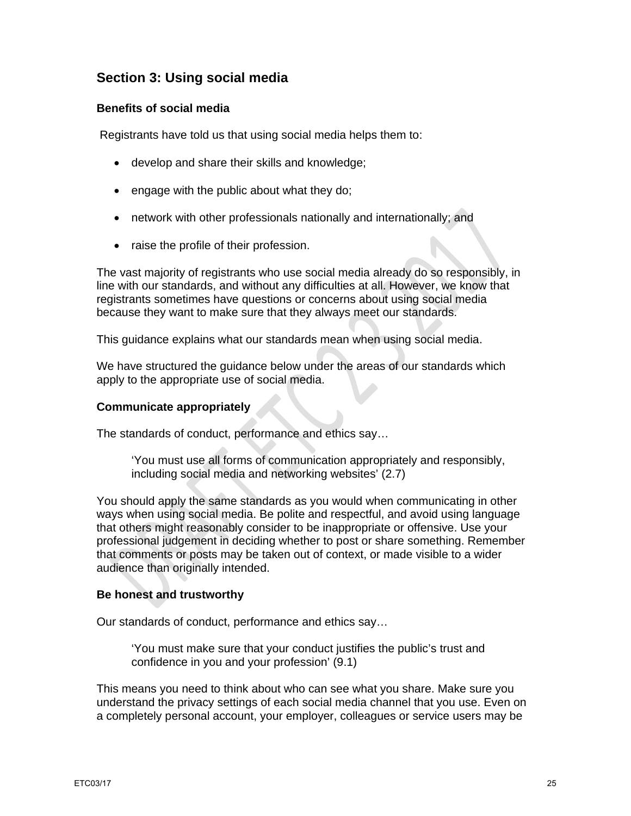# **Section 3: Using social media**

## **Benefits of social media**

Registrants have told us that using social media helps them to:

- develop and share their skills and knowledge;
- engage with the public about what they do;
- network with other professionals nationally and internationally; and
- raise the profile of their profession.

The vast majority of registrants who use social media already do so responsibly, in line with our standards, and without any difficulties at all. However, we know that registrants sometimes have questions or concerns about using social media because they want to make sure that they always meet our standards.

This guidance explains what our standards mean when using social media.

We have structured the guidance below under the areas of our standards which apply to the appropriate use of social media.

## **Communicate appropriately**

The standards of conduct, performance and ethics say…

'You must use all forms of communication appropriately and responsibly, including social media and networking websites' (2.7)

You should apply the same standards as you would when communicating in other ways when using social media. Be polite and respectful, and avoid using language that others might reasonably consider to be inappropriate or offensive. Use your professional judgement in deciding whether to post or share something. Remember that comments or posts may be taken out of context, or made visible to a wider audience than originally intended.

## **Be honest and trustworthy**

Our standards of conduct, performance and ethics say…

'You must make sure that your conduct justifies the public's trust and confidence in you and your profession' (9.1)

This means you need to think about who can see what you share. Make sure you understand the privacy settings of each social media channel that you use. Even on a completely personal account, your employer, colleagues or service users may be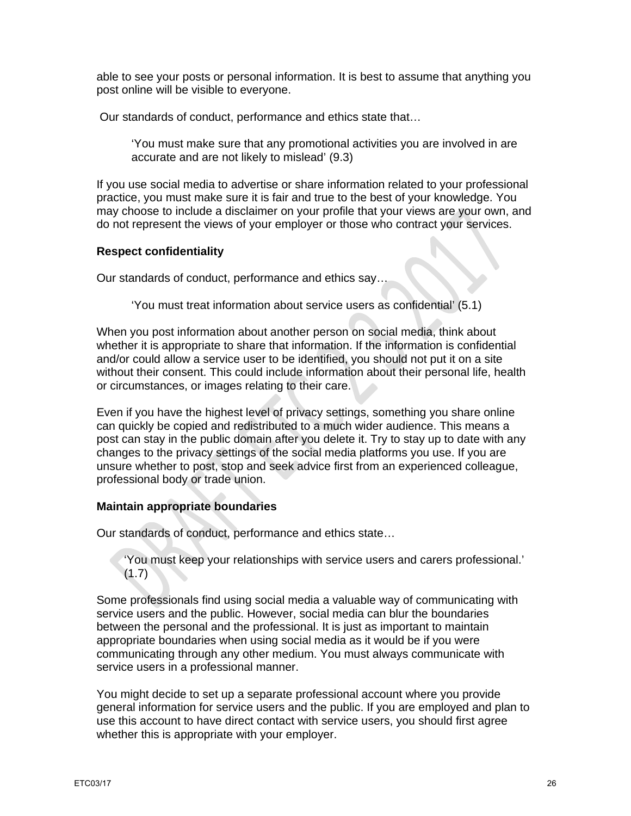able to see your posts or personal information. It is best to assume that anything you post online will be visible to everyone.

Our standards of conduct, performance and ethics state that…

'You must make sure that any promotional activities you are involved in are accurate and are not likely to mislead' (9.3)

If you use social media to advertise or share information related to your professional practice, you must make sure it is fair and true to the best of your knowledge. You may choose to include a disclaimer on your profile that your views are your own, and do not represent the views of your employer or those who contract your services.

## **Respect confidentiality**

Our standards of conduct, performance and ethics say…

'You must treat information about service users as confidential' (5.1)

When you post information about another person on social media, think about whether it is appropriate to share that information. If the information is confidential and/or could allow a service user to be identified, you should not put it on a site without their consent. This could include information about their personal life, health or circumstances, or images relating to their care.

Even if you have the highest level of privacy settings, something you share online can quickly be copied and redistributed to a much wider audience. This means a post can stay in the public domain after you delete it. Try to stay up to date with any changes to the privacy settings of the social media platforms you use. If you are unsure whether to post, stop and seek advice first from an experienced colleague, professional body or trade union.

## **Maintain appropriate boundaries**

Our standards of conduct, performance and ethics state…

'You must keep your relationships with service users and carers professional.'  $(1.7)$ 

Some professionals find using social media a valuable way of communicating with service users and the public. However, social media can blur the boundaries between the personal and the professional. It is just as important to maintain appropriate boundaries when using social media as it would be if you were communicating through any other medium. You must always communicate with service users in a professional manner.

You might decide to set up a separate professional account where you provide general information for service users and the public. If you are employed and plan to use this account to have direct contact with service users, you should first agree whether this is appropriate with your employer.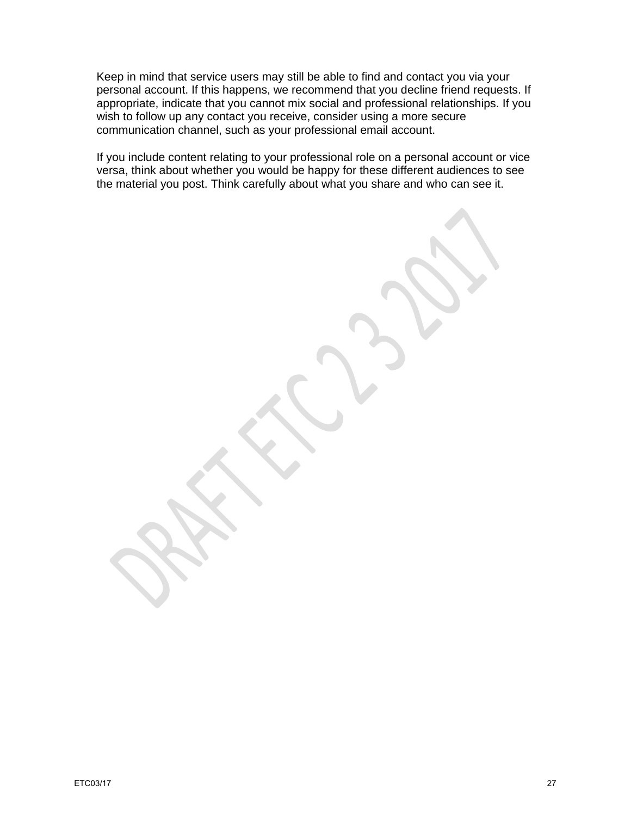Keep in mind that service users may still be able to find and contact you via your personal account. If this happens, we recommend that you decline friend requests. If appropriate, indicate that you cannot mix social and professional relationships. If you wish to follow up any contact you receive, consider using a more secure communication channel, such as your professional email account.

If you include content relating to your professional role on a personal account or vice versa, think about whether you would be happy for these different audiences to see the material you post. Think carefully about what you share and who can see it.